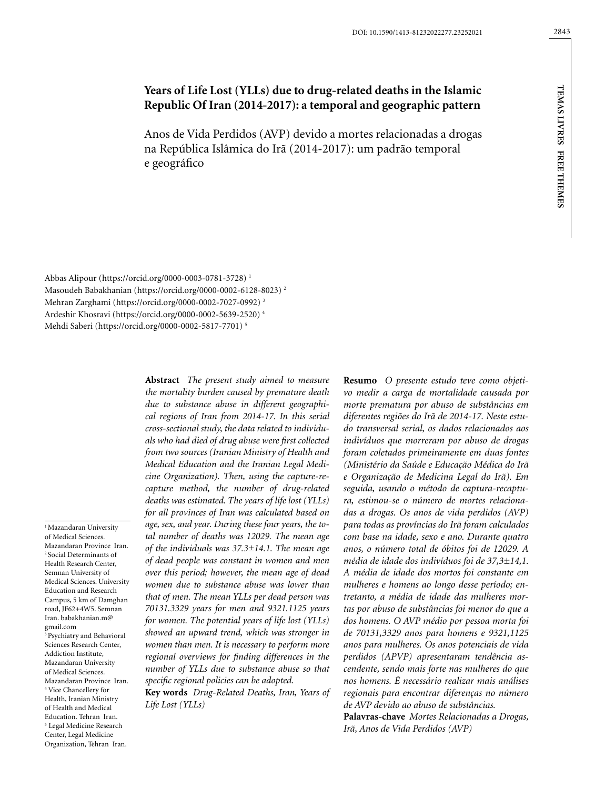# **Years of Life Lost (YLLs) due to drug-related deaths in the Islamic Republic Of Iran (2014-2017): a temporal and geographic pattern**

Anos de Vida Perdidos (AVP) devido a mortes relacionadas a drogas na República Islâmica do Irã (2014-2017): um padrão temporal e geográfico

Abbas Alipour (https://orcid.org/0000-0003-0781-3728) 1 Masoudeh Babakhanian (https://orcid.org/0000-0002-6128-8023) 2 Mehran Zarghami (https://orcid.org/0000-0002-7027-0992) 3 Ardeshir Khosravi (https://orcid.org/0000-0002-5639-2520) 4 Mehdi Saberi (https://orcid.org/0000-0002-5817-7701) 5

<sup>1</sup> Mazandaran University of Medical Sciences. Mazandaran Province Iran. 2 Social Determinants of Health Research Center, Semnan University of Medical Sciences. University Education and Research Campus, 5 km of Damghan road, JF62+4W5. Semnan Iran. babakhanian.m@ gmail.com 3 Psychiatry and Behavioral Sciences Research Center, Addiction Institute, Mazandaran University of Medical Sciences. Mazandaran Province Iran. 4 Vice Chancellery for Health, Iranian Ministry of Health and Medical Education. Tehran Iran. 5 Legal Medicine Research Center, Legal Medicine Organization, Tehran Iran.

**Abstract** *The present study aimed to measure the mortality burden caused by premature death due to substance abuse in different geographical regions of Iran from 2014-17. In this serial cross-sectional study, the data related to individuals who had died of drug abuse were first collected from two sources (Iranian Ministry of Health and Medical Education and the Iranian Legal Medicine Organization). Then, using the capture-recapture method, the number of drug-related deaths was estimated. The years of life lost (YLLs) for all provinces of Iran was calculated based on age, sex, and year. During these four years, the total number of deaths was 12029. The mean age of the individuals was 37.3±14.1. The mean age of dead people was constant in women and men over this period; however, the mean age of dead women due to substance abuse was lower than that of men. The mean YLLs per dead person was 70131.3329 years for men and 9321.1125 years for women. The potential years of life lost (YLLs) showed an upward trend, which was stronger in women than men. It is necessary to perform more regional overviews for finding differences in the number of YLLs due to substance abuse so that specific regional policies can be adopted.*

**Key words** *Drug-Related Deaths, Iran, Years of Life Lost (YLLs)*

**Resumo** *O presente estudo teve como objetivo medir a carga de mortalidade causada por morte prematura por abuso de substâncias em diferentes regiões do Irã de 2014-17. Neste estudo transversal serial, os dados relacionados aos indivíduos que morreram por abuso de drogas foram coletados primeiramente em duas fontes (Ministério da Saúde e Educação Médica do Irã e Organização de Medicina Legal do Irã). Em seguida, usando o método de captura-recaptura, estimou-se o número de mortes relacionadas a drogas. Os anos de vida perdidos (AVP) para todas as províncias do Irã foram calculados com base na idade, sexo e ano. Durante quatro anos, o número total de óbitos foi de 12029. A média de idade dos indivíduos foi de 37,3±14,1. A média de idade dos mortos foi constante em mulheres e homens ao longo desse período; entretanto, a média de idade das mulheres mortas por abuso de substâncias foi menor do que a dos homens. O AVP médio por pessoa morta foi de 70131,3329 anos para homens e 9321,1125 anos para mulheres. Os anos potenciais de vida perdidos (APVP) apresentaram tendência ascendente, sendo mais forte nas mulheres do que nos homens. É necessário realizar mais análises regionais para encontrar diferenças no número de AVP devido ao abuso de substâncias.*

**Palavras-chave** *Mortes Relacionadas a Drogas, Irã, Anos de Vida Perdidos (AVP)*

**tem**

**as li v res f**

**ree themes**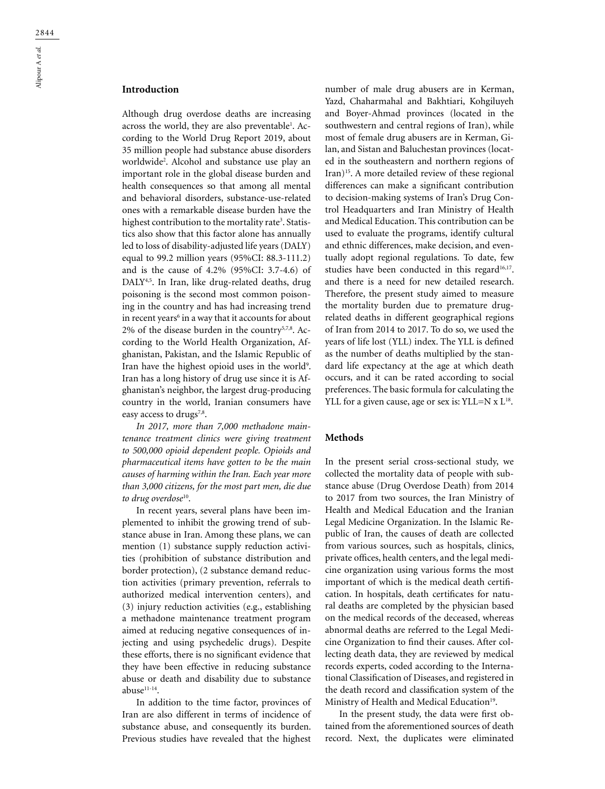Although drug overdose deaths are increasing across the world, they are also preventable<sup>1</sup>. According to the World Drug Report 2019, about 35 million people had substance abuse disorders worldwide2 . Alcohol and substance use play an important role in the global disease burden and health consequences so that among all mental and behavioral disorders, substance-use-related ones with a remarkable disease burden have the highest contribution to the mortality rate<sup>3</sup>. Statistics also show that this factor alone has annually led to loss of disability-adjusted life years (DALY) equal to 99.2 million years (95%CI: 88.3-111.2) and is the cause of 4.2% (95%CI: 3.7-4.6) of DALY<sup>4,5</sup>. In Iran, like drug-related deaths, drug poisoning is the second most common poisoning in the country and has had increasing trend in recent years<sup>6</sup> in a way that it accounts for about 2% of the disease burden in the country<sup>5,7,8</sup>. According to the World Health Organization, Afghanistan, Pakistan, and the Islamic Republic of Iran have the highest opioid uses in the world<sup>9</sup>. Iran has a long history of drug use since it is Afghanistan's neighbor, the largest drug-producing country in the world, Iranian consumers have easy access to drugs<sup>7,8</sup>.

*In 2017, more than 7,000 methadone maintenance treatment clinics were giving treatment to 500,000 opioid dependent people. Opioids and pharmaceutical items have gotten to be the main causes of harming within the Iran. Each year more than 3,000 citizens, for the most part men, die due to drug overdose*10.

In recent years, several plans have been implemented to inhibit the growing trend of substance abuse in Iran. Among these plans, we can mention (1) substance supply reduction activities (prohibition of substance distribution and border protection), (2 substance demand reduction activities (primary prevention, referrals to authorized medical intervention centers), and (3) injury reduction activities (e.g., establishing a methadone maintenance treatment program aimed at reducing negative consequences of injecting and using psychedelic drugs). Despite these efforts, there is no significant evidence that they have been effective in reducing substance abuse or death and disability due to substance abuse<sup>11-14</sup>.

In addition to the time factor, provinces of Iran are also different in terms of incidence of substance abuse, and consequently its burden. Previous studies have revealed that the highest

number of male drug abusers are in Kerman, Yazd, Chaharmahal and Bakhtiari, Kohgiluyeh and Boyer-Ahmad provinces (located in the southwestern and central regions of Iran), while most of female drug abusers are in Kerman, Gilan, and Sistan and Baluchestan provinces (located in the southeastern and northern regions of Iran)15. A more detailed review of these regional differences can make a significant contribution to decision-making systems of Iran's Drug Control Headquarters and Iran Ministry of Health and Medical Education. This contribution can be used to evaluate the programs, identify cultural and ethnic differences, make decision, and eventually adopt regional regulations. To date, few studies have been conducted in this regard<sup>16,17</sup>. and there is a need for new detailed research. Therefore, the present study aimed to measure the mortality burden due to premature drugrelated deaths in different geographical regions of Iran from 2014 to 2017. To do so, we used the years of life lost (YLL) index. The YLL is defined as the number of deaths multiplied by the standard life expectancy at the age at which death occurs, and it can be rated according to social preferences. The basic formula for calculating the YLL for a given cause, age or sex is: YLL=N  $x$  L<sup>18</sup>.

#### **Methods**

In the present serial cross-sectional study, we collected the mortality data of people with substance abuse (Drug Overdose Death) from 2014 to 2017 from two sources, the Iran Ministry of Health and Medical Education and the Iranian Legal Medicine Organization. In the Islamic Republic of Iran, the causes of death are collected from various sources, such as hospitals, clinics, private offices, health centers, and the legal medicine organization using various forms the most important of which is the medical death certification. In hospitals, death certificates for natural deaths are completed by the physician based on the medical records of the deceased, whereas abnormal deaths are referred to the Legal Medicine Organization to find their causes. After collecting death data, they are reviewed by medical records experts, coded according to the International Classification of Diseases, and registered in the death record and classification system of the Ministry of Health and Medical Education<sup>19</sup>.

In the present study, the data were first obtained from the aforementioned sources of death record. Next, the duplicates were eliminated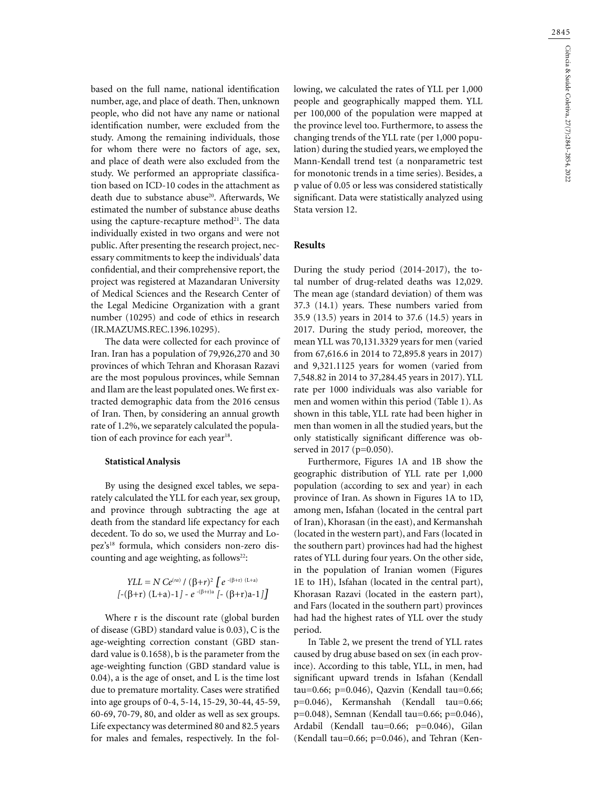based on the full name, national identification number, age, and place of death. Then, unknown people, who did not have any name or national identification number, were excluded from the study. Among the remaining individuals, those for whom there were no factors of age, sex, and place of death were also excluded from the study. We performed an appropriate classification based on ICD-10 codes in the attachment as death due to substance abuse<sup>20</sup>. Afterwards, We estimated the number of substance abuse deaths using the capture-recapture method<sup>21</sup>. The data individually existed in two organs and were not public. After presenting the research project, necessary commitments to keep the individuals' data confidential, and their comprehensive report, the project was registered at Mazandaran University of Medical Sciences and the Research Center of the Legal Medicine Organization with a grant number (10295) and code of ethics in research (IR.MAZUMS.REC.1396.10295).

The data were collected for each province of Iran. Iran has a population of 79,926,270 and 30 provinces of which Tehran and Khorasan Razavi are the most populous provinces, while Semnan and Ilam are the least populated ones. We first extracted demographic data from the 2016 census of Iran. Then, by considering an annual growth rate of 1.2%, we separately calculated the population of each province for each year<sup>18</sup>.

#### **Statistical Analysis**

By using the designed excel tables, we separately calculated the YLL for each year, sex group, and province through subtracting the age at death from the standard life expectancy for each decedent. To do so, we used the Murray and Lopez's<sup>18</sup> formula, which considers non-zero discounting and age weighting, as follows<sup>22</sup>:

*YLL* = *N Ce*(*ra*) / (β+*r*)2 [*e* -(β+r) (L+a) [-(β+r) (L+a)-1] - *e* -(β+r)a [- (β+r)a-1]]

Where r is the discount rate (global burden of disease (GBD) standard value is 0.03), C is the age-weighting correction constant (GBD standard value is 0.1658), b is the parameter from the age-weighting function (GBD standard value is 0.04), a is the age of onset, and L is the time lost due to premature mortality. Cases were stratified into age groups of 0-4, 5-14, 15-29, 30-44, 45-59, 60-69, 70-79, 80, and older as well as sex groups. Life expectancy was determined 80 and 82.5 years for males and females, respectively. In the following, we calculated the rates of YLL per 1,000 people and geographically mapped them. YLL per 100,000 of the population were mapped at the province level too. Furthermore, to assess the changing trends of the YLL rate (per 1,000 population) during the studied years, we employed the Mann-Kendall trend test (a nonparametric test for monotonic trends in a time series). Besides, a p value of 0.05 or less was considered statistically significant. Data were statistically analyzed using Stata version 12.

# **Results**

During the study period (2014-2017), the total number of drug-related deaths was 12,029. The mean age (standard deviation) of them was 37.3 (14.1) years. These numbers varied from 35.9 (13.5) years in 2014 to 37.6 (14.5) years in 2017. During the study period, moreover, the mean YLL was 70,131.3329 years for men (varied from 67,616.6 in 2014 to 72,895.8 years in 2017) and 9,321.1125 years for women (varied from 7,548.82 in 2014 to 37,284.45 years in 2017). YLL rate per 1000 individuals was also variable for men and women within this period (Table 1). As shown in this table, YLL rate had been higher in men than women in all the studied years, but the only statistically significant difference was observed in 2017 (p=0.050).

Furthermore, Figures 1A and 1B show the geographic distribution of YLL rate per 1,000 population (according to sex and year) in each province of Iran. As shown in Figures 1A to 1D, among men, Isfahan (located in the central part of Iran), Khorasan (in the east), and Kermanshah (located in the western part), and Fars (located in the southern part) provinces had had the highest rates of YLL during four years. On the other side, in the population of Iranian women (Figures 1E to 1H), Isfahan (located in the central part), Khorasan Razavi (located in the eastern part), and Fars (located in the southern part) provinces had had the highest rates of YLL over the study period.

In Table 2, we present the trend of YLL rates caused by drug abuse based on sex (in each province). According to this table, YLL, in men, had significant upward trends in Isfahan (Kendall tau=0.66; p=0.046), Qazvin (Kendall tau=0.66; p=0.046), Kermanshah (Kendall tau=0.66; p=0.048), Semnan (Kendall tau=0.66; p=0.046), Ardabil (Kendall tau=0.66; p=0.046), Gilan (Kendall tau=0.66;  $p=0.046$ ), and Tehran (Ken-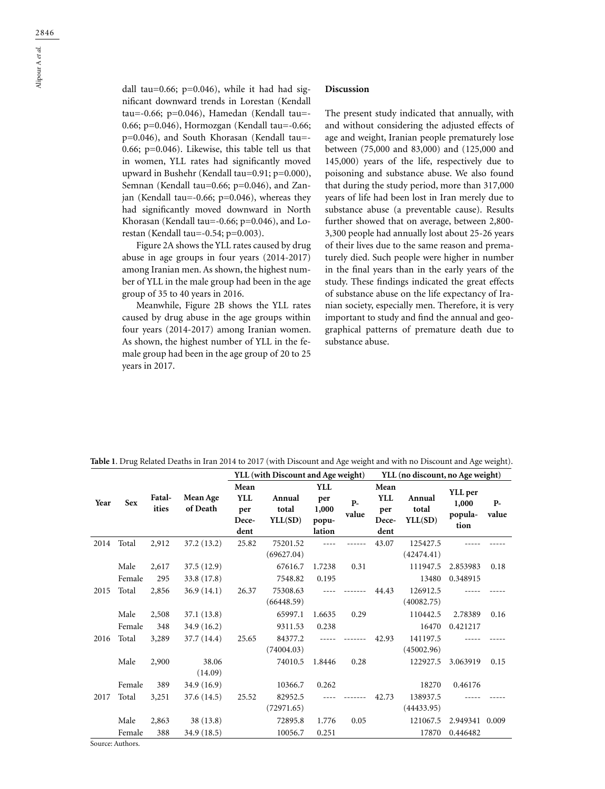dall tau=0.66;  $p=0.046$ ), while it had had significant downward trends in Lorestan (Kendall tau=-0.66; p=0.046), Hamedan (Kendall tau=- 0.66; p=0.046), Hormozgan (Kendall tau=-0.66; p=0.046), and South Khorasan (Kendall tau=- 0.66; p=0.046). Likewise, this table tell us that in women, YLL rates had significantly moved upward in Bushehr (Kendall tau=0.91; p=0.000), Semnan (Kendall tau=0.66; p=0.046), and Zanjan (Kendall tau=-0.66; p=0.046), whereas they had significantly moved downward in North Khorasan (Kendall tau=-0.66; p=0.046), and Lorestan (Kendall tau=-0.54; p=0.003).

Figure 2A shows the YLL rates caused by drug abuse in age groups in four years (2014-2017) among Iranian men. As shown, the highest number of YLL in the male group had been in the age group of 35 to 40 years in 2016.

Meanwhile, Figure 2B shows the YLL rates caused by drug abuse in the age groups within four years (2014-2017) among Iranian women. As shown, the highest number of YLL in the female group had been in the age group of 20 to 25 years in 2017.

#### **Discussion**

The present study indicated that annually, with and without considering the adjusted effects of age and weight, Iranian people prematurely lose between (75,000 and 83,000) and (125,000 and 145,000) years of the life, respectively due to poisoning and substance abuse. We also found that during the study period, more than 317,000 years of life had been lost in Iran merely due to substance abuse (a preventable cause). Results further showed that on average, between 2,800- 3,300 people had annually lost about 25-26 years of their lives due to the same reason and prematurely died. Such people were higher in number in the final years than in the early years of the study. These findings indicated the great effects of substance abuse on the life expectancy of Iranian society, especially men. Therefore, it is very important to study and find the annual and geographical patterns of premature death due to substance abuse.

|      |                |                 |                           | YLL (with Discount and Age weight)         |                            |                                               |                | YLL (no discount, no Age weight)           |                            |                                     |               |  |
|------|----------------|-----------------|---------------------------|--------------------------------------------|----------------------------|-----------------------------------------------|----------------|--------------------------------------------|----------------------------|-------------------------------------|---------------|--|
| Year | <b>Sex</b>     | Fatal-<br>ities | Mean Age<br>of Death      | Mean<br><b>YLL</b><br>per<br>Dece-<br>dent | Annual<br>total<br>YLL(SD) | <b>YLL</b><br>per<br>1,000<br>popu-<br>lation | $P -$<br>value | Mean<br><b>YLL</b><br>per<br>Dece-<br>dent | Annual<br>total<br>YLL(SD) | YLL per<br>1,000<br>popula-<br>tion | $P-$<br>value |  |
| 2014 | Total          | 2,912           | 37.2 (13.2)               | 25.82                                      | 75201.52<br>(69627.04)     |                                               |                | 43.07                                      | 125427.5<br>(42474.41)     |                                     |               |  |
|      | Male<br>Female | 2,617<br>295    | 37.5(12.9)<br>33.8 (17.8) |                                            | 67616.7<br>7548.82         | 1.7238<br>0.195                               | 0.31           |                                            | 111947.5<br>13480          | 2.853983<br>0.348915                | 0.18          |  |
| 2015 | Total          | 2,856           | 36.9(14.1)                | 26.37                                      | 75308.63<br>(66448.59)     |                                               |                | 44.43                                      | 126912.5<br>(40082.75)     |                                     |               |  |
|      | Male<br>Female | 2,508<br>348    | 37.1(13.8)<br>34.9 (16.2) |                                            | 65997.1<br>9311.53         | 1.6635<br>0.238                               | 0.29           |                                            | 110442.5<br>16470          | 2.78389<br>0.421217                 | 0.16          |  |
| 2016 | Total          | 3,289           | 37.7 (14.4)               | 25.65                                      | 84377.2<br>(74004.03)      |                                               |                | 42.93                                      | 141197.5<br>(45002.96)     |                                     |               |  |
|      | Male           | 2,900           | 38.06<br>(14.09)          |                                            | 74010.5                    | 1.8446                                        | 0.28           |                                            | 122927.5                   | 3.063919                            | 0.15          |  |
|      | Female         | 389             | 34.9 (16.9)               |                                            | 10366.7                    | 0.262                                         |                |                                            | 18270                      | 0.46176                             |               |  |
| 2017 | Total          | 3,251           | 37.6 (14.5)               | 25.52                                      | 82952.5<br>(72971.65)      |                                               |                | 42.73                                      | 138937.5<br>(44433.95)     |                                     |               |  |
|      | Male           | 2,863           | 38(13.8)                  |                                            | 72895.8                    | 1.776                                         | 0.05           |                                            | 121067.5                   | 2.949341 0.009                      |               |  |
|      | Female         | 388             | 34.9 (18.5)               |                                            | 10056.7                    | 0.251                                         |                |                                            | 17870                      | 0.446482                            |               |  |

**Table 1**. Drug Related Deaths in Iran 2014 to 2017 (with Discount and Age weight and with no Discount and Age weight).

Source: Authors.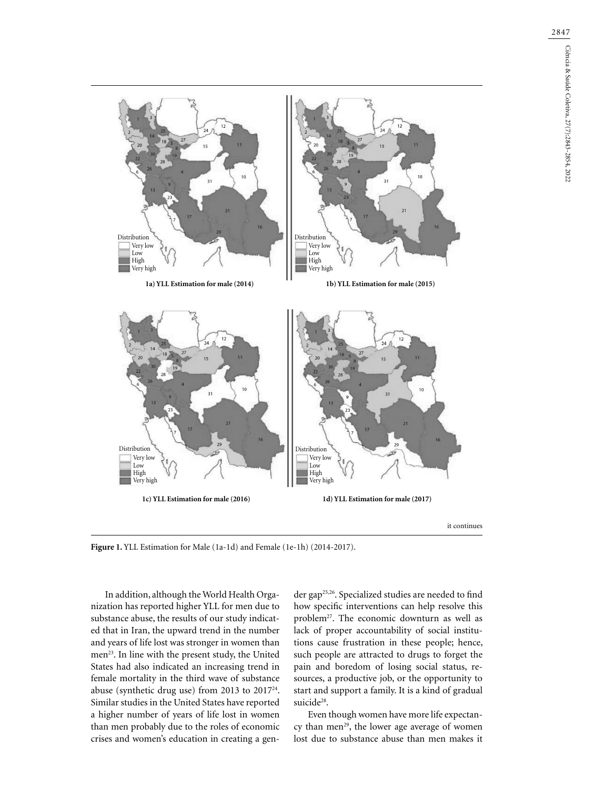

**Figure 1.** YLL Estimation for Male (1a-1d) and Female (1e-1h) (2014-2017).

In addition, although the World Health Organization has reported higher YLL for men due to substance abuse, the results of our study indicated that in Iran, the upward trend in the number and years of life lost was stronger in women than men<sup>23</sup>. In line with the present study, the United States had also indicated an increasing trend in female mortality in the third wave of substance abuse (synthetic drug use) from 2013 to 201724. Similar studies in the United States have reported a higher number of years of life lost in women than men probably due to the roles of economic crises and women's education in creating a gen-

der gap25,26. Specialized studies are needed to find how specific interventions can help resolve this problem<sup>27</sup>. The economic downturn as well as lack of proper accountability of social institutions cause frustration in these people; hence, such people are attracted to drugs to forget the pain and boredom of losing social status, resources, a productive job, or the opportunity to start and support a family. It is a kind of gradual suicide<sup>28</sup>.

Even though women have more life expectancy than men<sup>29</sup>, the lower age average of women lost due to substance abuse than men makes it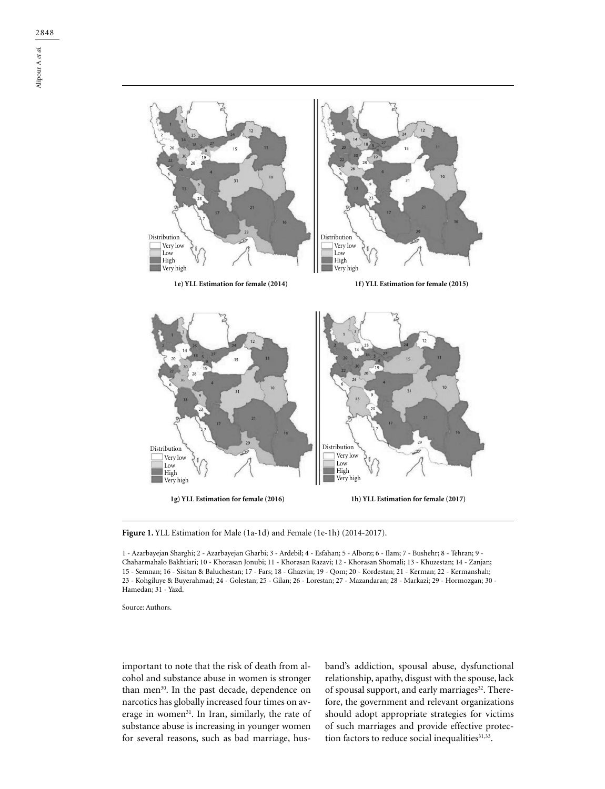

Figure 1. YLL Estimation for Male (1a-1d) and Female (1e-1h) (2014-2017).

1 - Azarbayejan Sharghi; 2 - Azarbayejan Gharbi; 3 - Ardebil; 4 - Esfahan; 5 - Alborz; 6 - Ilam; 7 - Bushehr; 8 - Tehran; 9 - Chaharmahalo Bakhtiari; 10 - Khorasan Jonubi; 11 - Khorasan Razavi; 12 - Khorasan Shomali; 13 - Khuzestan; 14 - Zanjan; 15 - Semnan; 16 - Sisitan & Baluchestan; 17 - Fars; 18 - Ghazvin; 19 - Qom; 20 - Kordestan; 21 - Kerman; 22 - Kermanshah; 23 - Kohgiluye & Buyerahmad; 24 - Golestan; 25 - Gilan; 26 - Lorestan; 27 - Mazandaran; 28 - Markazi; 29 - Hormozgan; 30 - Hamedan; 31 - Yazd.

Source: Authors.

important to note that the risk of death from alcohol and substance abuse in women is stronger than men<sup>30</sup>. In the past decade, dependence on narcotics has globally increased four times on average in women<sup>31</sup>. In Iran, similarly, the rate of substance abuse is increasing in younger women for several reasons, such as bad marriage, husband's addiction, spousal abuse, dysfunctional relationship, apathy, disgust with the spouse, lack of spousal support, and early marriages<sup>32</sup>. Therefore, the government and relevant organizations should adopt appropriate strategies for victims of such marriages and provide effective protection factors to reduce social inequalities<sup>31,33</sup>.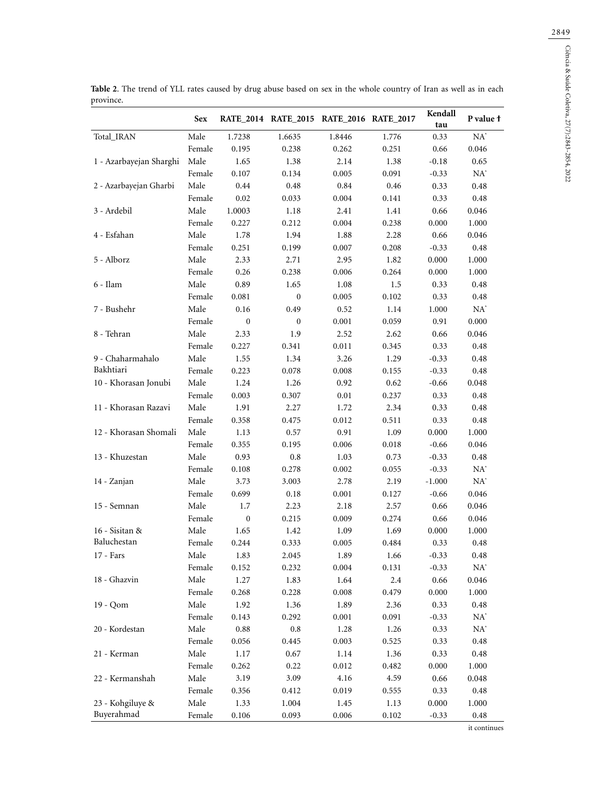|                         | <b>Sex</b> |                  | RATE_2014 RATE_2015 RATE_2016 RATE_2017 |        |       | Kendall<br>tau | P value f |
|-------------------------|------------|------------------|-----------------------------------------|--------|-------|----------------|-----------|
| Total_IRAN              | Male       | 1.7238           | 1.6635                                  | 1.8446 | 1.776 | 0.33           | $NA^*$    |
|                         | Female     | 0.195            | 0.238                                   | 0.262  | 0.251 | 0.66           | 0.046     |
| 1 - Azarbayejan Sharghi | Male       | 1.65             | 1.38                                    | 2.14   | 1.38  | $-0.18$        | 0.65      |
|                         | Female     | 0.107            | 0.134                                   | 0.005  | 0.091 | $-0.33$        | $NA^*$    |
| 2 - Azarbayejan Gharbi  | Male       | 0.44             | 0.48                                    | 0.84   | 0.46  | 0.33           | 0.48      |
|                         | Female     | 0.02             | 0.033                                   | 0.004  | 0.141 | 0.33           | 0.48      |
| 3 - Ardebil             | Male       | 1.0003           | 1.18                                    | 2.41   | 1.41  | 0.66           | 0.046     |
|                         | Female     | 0.227            | 0.212                                   | 0.004  | 0.238 | 0.000          | 1.000     |
| 4 - Esfahan             | Male       | 1.78             | 1.94                                    | 1.88   | 2.28  | 0.66           | 0.046     |
|                         | Female     | 0.251            | 0.199                                   | 0.007  | 0.208 | $-0.33$        | 0.48      |
| 5 - Alborz              | Male       | 2.33             | 2.71                                    | 2.95   | 1.82  | 0.000          | 1.000     |
|                         | Female     | 0.26             | 0.238                                   | 0.006  | 0.264 | 0.000          | 1.000     |
| 6 - Ilam                | Male       | 0.89             | 1.65                                    | 1.08   | 1.5   | 0.33           | 0.48      |
|                         | Female     | 0.081            | $\boldsymbol{0}$                        | 0.005  | 0.102 | 0.33           | 0.48      |
| 7 - Bushehr             | Male       | 0.16             | 0.49                                    | 0.52   | 1.14  | 1.000          | $NA^*$    |
|                         | Female     | $\boldsymbol{0}$ | $\boldsymbol{0}$                        | 0.001  | 0.059 | 0.91           | 0.000     |
| 8 - Tehran              | Male       | 2.33             | 1.9                                     | 2.52   | 2.62  | 0.66           | 0.046     |
|                         | Female     | 0.227            | 0.341                                   | 0.011  | 0.345 | 0.33           | 0.48      |
| 9 - Chaharmahalo        | Male       | 1.55             | 1.34                                    | 3.26   | 1.29  | $-0.33$        | 0.48      |
| Bakhtiari               | Female     | 0.223            | 0.078                                   | 0.008  | 0.155 | $-0.33$        | 0.48      |
| 10 - Khorasan Jonubi    | Male       | 1.24             | 1.26                                    | 0.92   | 0.62  | $-0.66$        | 0.048     |
|                         | Female     | 0.003            | 0.307                                   | 0.01   | 0.237 | 0.33           | 0.48      |
| 11 - Khorasan Razavi    | Male       | 1.91             | 2.27                                    | 1.72   | 2.34  | 0.33           | 0.48      |
|                         | Female     | 0.358            | 0.475                                   | 0.012  | 0.511 | 0.33           | 0.48      |
| 12 - Khorasan Shomali   | Male       | 1.13             | 0.57                                    | 0.91   | 1.09  | 0.000          | 1.000     |
|                         | Female     | 0.355            | 0.195                                   | 0.006  | 0.018 | $-0.66$        | 0.046     |
| 13 - Khuzestan          | Male       | 0.93             | 0.8                                     | 1.03   | 0.73  | $-0.33$        | 0.48      |
|                         | Female     | 0.108            | 0.278                                   | 0.002  | 0.055 | $-0.33$        | $NA^*$    |
| 14 - Zanjan             | Male       | 3.73             | 3.003                                   | 2.78   | 2.19  | $-1.000$       | $NA^*$    |
|                         | Female     | 0.699            | 0.18                                    | 0.001  | 0.127 | $-0.66$        | 0.046     |
| 15 - Semnan             | Male       | 1.7              | 2.23                                    | 2.18   | 2.57  | 0.66           | 0.046     |
|                         | Female     | $\boldsymbol{0}$ | 0.215                                   | 0.009  | 0.274 | 0.66           | 0.046     |
| 16 - Sisitan &          | Male       | 1.65             | 1.42                                    | 1.09   | 1.69  | 0.000          | 1.000     |
| Baluchestan             | Female     | 0.244            | 0.333                                   | 0.005  | 0.484 | 0.33           | 0.48      |
| 17 - Fars               | Male       | 1.83             | 2.045                                   | 1.89   | 1.66  | $-0.33$        | $\,0.48$  |
|                         | Female     | 0.152            | 0.232                                   | 0.004  | 0.131 | $-0.33$        | $NA^*$    |
| 18 - Ghazvin            | Male       | 1.27             | 1.83                                    | 1.64   | 2.4   | 0.66           | 0.046     |
|                         | Female     | 0.268            | 0.228                                   | 0.008  | 0.479 | 0.000          | 1.000     |
| 19 - Qom                | Male       | 1.92             | 1.36                                    | 1.89   | 2.36  | 0.33           | 0.48      |
|                         | Female     | 0.143            | 0.292                                   | 0.001  | 0.091 | $-0.33$        | $NA^*$    |
| 20 - Kordestan          | Male       | 0.88             | 0.8                                     | 1.28   | 1.26  | 0.33           | $NA^*$    |
|                         | Female     | 0.056            | 0.445                                   | 0.003  | 0.525 | 0.33           | 0.48      |
| 21 - Kerman             | Male       | 1.17             | 0.67                                    | 1.14   | 1.36  | 0.33           | 0.48      |
|                         | Female     | 0.262            | 0.22                                    | 0.012  | 0.482 | 0.000          | 1.000     |
| 22 - Kermanshah         | Male       | 3.19             | 3.09                                    | 4.16   | 4.59  | 0.66           | 0.048     |
|                         | Female     | 0.356            | 0.412                                   | 0.019  | 0.555 | 0.33           | 0.48      |
| 23 - Kohgiluye &        | Male       | 1.33             | 1.004                                   | 1.45   | 1.13  | 0.000          | 1.000     |
| Buyerahmad              | Female     | 0.106            | 0.093                                   | 0.006  | 0.102 | $-0.33$        | 0.48      |

**Table 2**. The trend of YLL rates caused by drug abuse based on sex in the whole country of Iran as well as in each province.

it continues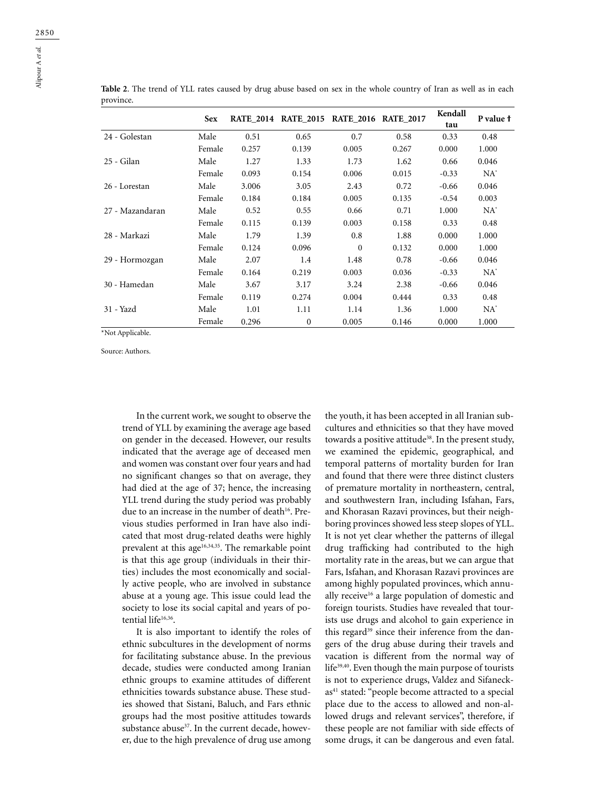|                 | <b>Sex</b> |       | RATE 2014 RATE 2015 RATE 2016 RATE 2017 |              |       | Kendall<br>tau | P value f |
|-----------------|------------|-------|-----------------------------------------|--------------|-------|----------------|-----------|
| 24 - Golestan   | Male       | 0.51  | 0.65                                    | 0.7          | 0.58  | 0.33           | 0.48      |
|                 | Female     | 0.257 | 0.139                                   | 0.005        | 0.267 | 0.000          | 1.000     |
| 25 - Gilan      | Male       | 1.27  | 1.33                                    | 1.73         | 1.62  | 0.66           | 0.046     |
|                 | Female     | 0.093 | 0.154                                   | 0.006        | 0.015 | $-0.33$        | $NA^*$    |
| 26 - Lorestan   | Male       | 3.006 | 3.05                                    | 2.43         | 0.72  | $-0.66$        | 0.046     |
|                 | Female     | 0.184 | 0.184                                   | 0.005        | 0.135 | $-0.54$        | 0.003     |
| 27 - Mazandaran | Male       | 0.52  | 0.55                                    | 0.66         | 0.71  | 1.000          | $NA^*$    |
|                 | Female     | 0.115 | 0.139                                   | 0.003        | 0.158 | 0.33           | 0.48      |
| 28 - Markazi    | Male       | 1.79  | 1.39                                    | 0.8          | 1.88  | 0.000          | 1.000     |
|                 | Female     | 0.124 | 0.096                                   | $\mathbf{0}$ | 0.132 | 0.000          | 1.000     |
| 29 - Hormozgan  | Male       | 2.07  | 1.4                                     | 1.48         | 0.78  | $-0.66$        | 0.046     |
|                 | Female     | 0.164 | 0.219                                   | 0.003        | 0.036 | $-0.33$        | $NA^*$    |
| 30 - Hamedan    | Male       | 3.67  | 3.17                                    | 3.24         | 2.38  | $-0.66$        | 0.046     |
|                 | Female     | 0.119 | 0.274                                   | 0.004        | 0.444 | 0.33           | 0.48      |
| 31 - Yazd       | Male       | 1.01  | 1.11                                    | 1.14         | 1.36  | 1.000          | $NA^*$    |
|                 | Female     | 0.296 | $\mathbf{0}$                            | 0.005        | 0.146 | 0.000          | 1.000     |

**Table 2**. The trend of YLL rates caused by drug abuse based on sex in the whole country of Iran as well as in each province.

\*Not Applicable.

Source: Authors.

In the current work, we sought to observe the trend of YLL by examining the average age based on gender in the deceased. However, our results indicated that the average age of deceased men and women was constant over four years and had no significant changes so that on average, they had died at the age of 37; hence, the increasing YLL trend during the study period was probably due to an increase in the number of death<sup>16</sup>. Previous studies performed in Iran have also indicated that most drug-related deaths were highly prevalent at this age<sup>16,34,35</sup>. The remarkable point is that this age group (individuals in their thirties) includes the most economically and socially active people, who are involved in substance abuse at a young age. This issue could lead the society to lose its social capital and years of potential life<sup>16,36</sup>.

It is also important to identify the roles of ethnic subcultures in the development of norms for facilitating substance abuse. In the previous decade, studies were conducted among Iranian ethnic groups to examine attitudes of different ethnicities towards substance abuse. These studies showed that Sistani, Baluch, and Fars ethnic groups had the most positive attitudes towards substance abuse<sup>37</sup>. In the current decade, however, due to the high prevalence of drug use among

the youth, it has been accepted in all Iranian subcultures and ethnicities so that they have moved towards a positive attitude<sup>38</sup>. In the present study, we examined the epidemic, geographical, and temporal patterns of mortality burden for Iran and found that there were three distinct clusters of premature mortality in northeastern, central, and southwestern Iran, including Isfahan, Fars, and Khorasan Razavi provinces, but their neighboring provinces showed less steep slopes of YLL. It is not yet clear whether the patterns of illegal drug trafficking had contributed to the high mortality rate in the areas, but we can argue that Fars, Isfahan, and Khorasan Razavi provinces are among highly populated provinces, which annually receive<sup>16</sup> a large population of domestic and foreign tourists. Studies have revealed that tourists use drugs and alcohol to gain experience in this regard<sup>39</sup> since their inference from the dangers of the drug abuse during their travels and vacation is different from the normal way of life<sup>39,40</sup>. Even though the main purpose of tourists is not to experience drugs, Valdez and Sifaneckas<sup>41</sup> stated: "people become attracted to a special place due to the access to allowed and non-allowed drugs and relevant services", therefore, if these people are not familiar with side effects of some drugs, it can be dangerous and even fatal.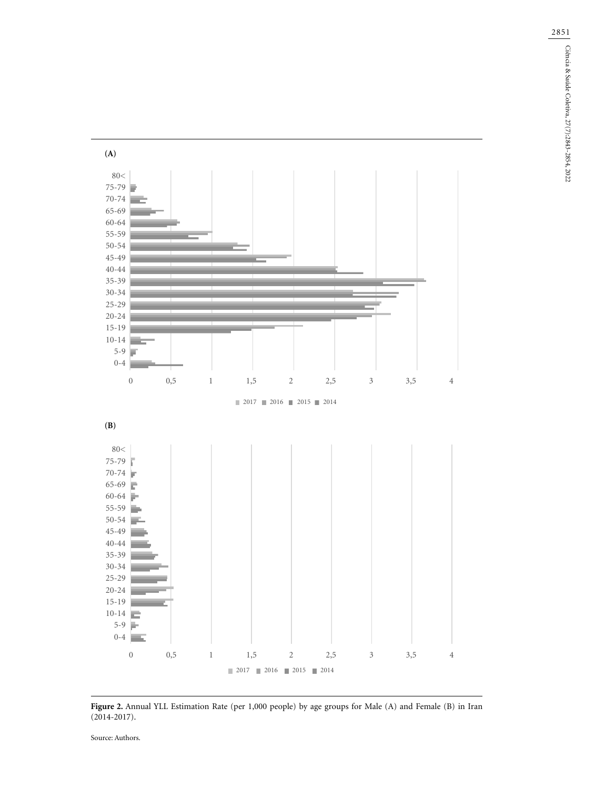**(A)** 80< 75-79 70-74 65-69 60-64 55-59 50-54 45-49 40-44 35-39 30-34 25-29 20-24 15-19 10-14 5-9  $0-4$ 0 0,5 1 1,5 2 2,5 3 3,5 4 2017 2016 2015 2014 **(B)**80< 75-79 70-74 65-69 60-64 × 55-59 50-54 45-49 40-44 35-39 30-34 25-29 20-24 15-19  $10-14$ 5-9 0-4 0 0,5 1 1,5 2 2,5 3 3,5 4 2017 2016 2015 2014

**Figure 2.** Annual YLL Estimation Rate (per 1,000 people) by age groups for Male (A) and Female (B) in Iran (2014-2017).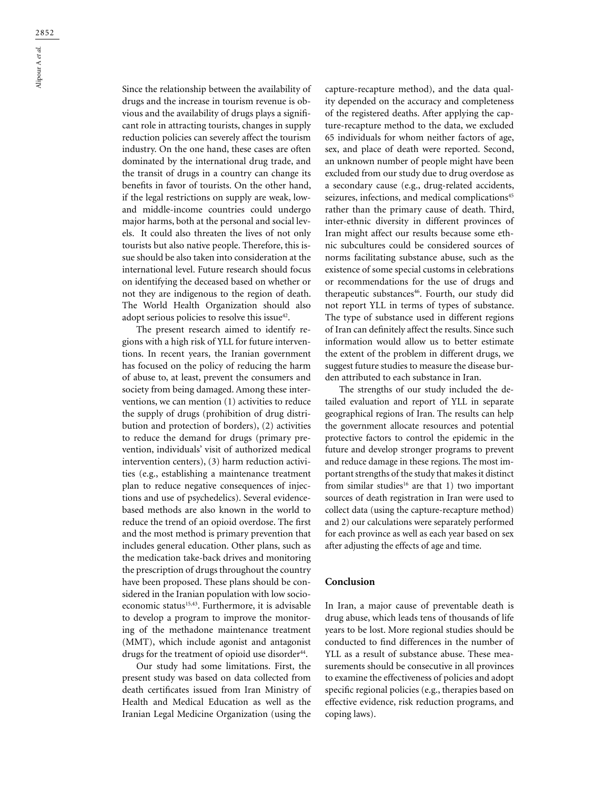Since the relationship between the availability of drugs and the increase in tourism revenue is obvious and the availability of drugs plays a significant role in attracting tourists, changes in supply reduction policies can severely affect the tourism industry. On the one hand, these cases are often dominated by the international drug trade, and the transit of drugs in a country can change its benefits in favor of tourists. On the other hand, if the legal restrictions on supply are weak, lowand middle-income countries could undergo major harms, both at the personal and social levels. It could also threaten the lives of not only tourists but also native people. Therefore, this issue should be also taken into consideration at the international level. Future research should focus on identifying the deceased based on whether or not they are indigenous to the region of death. The World Health Organization should also adopt serious policies to resolve this issue<sup>42</sup>.

The present research aimed to identify regions with a high risk of YLL for future interventions. In recent years, the Iranian government has focused on the policy of reducing the harm of abuse to, at least, prevent the consumers and society from being damaged. Among these interventions, we can mention (1) activities to reduce the supply of drugs (prohibition of drug distribution and protection of borders), (2) activities to reduce the demand for drugs (primary prevention, individuals' visit of authorized medical intervention centers), (3) harm reduction activities (e.g., establishing a maintenance treatment plan to reduce negative consequences of injections and use of psychedelics). Several evidencebased methods are also known in the world to reduce the trend of an opioid overdose. The first and the most method is primary prevention that includes general education. Other plans, such as the medication take-back drives and monitoring the prescription of drugs throughout the country have been proposed. These plans should be considered in the Iranian population with low socioeconomic status<sup>15,43</sup>. Furthermore, it is advisable to develop a program to improve the monitoring of the methadone maintenance treatment (MMT), which include agonist and antagonist drugs for the treatment of opioid use disorder<sup>44</sup>.

Our study had some limitations. First, the present study was based on data collected from death certificates issued from Iran Ministry of Health and Medical Education as well as the Iranian Legal Medicine Organization (using the

capture-recapture method), and the data quality depended on the accuracy and completeness of the registered deaths. After applying the capture-recapture method to the data, we excluded 65 individuals for whom neither factors of age, sex, and place of death were reported. Second, an unknown number of people might have been excluded from our study due to drug overdose as a secondary cause (e.g., drug-related accidents, seizures, infections, and medical complications<sup>45</sup> rather than the primary cause of death. Third, inter-ethnic diversity in different provinces of Iran might affect our results because some ethnic subcultures could be considered sources of norms facilitating substance abuse, such as the existence of some special customs in celebrations or recommendations for the use of drugs and therapeutic substances<sup>46</sup>. Fourth, our study did not report YLL in terms of types of substance. The type of substance used in different regions of Iran can definitely affect the results. Since such information would allow us to better estimate the extent of the problem in different drugs, we suggest future studies to measure the disease burden attributed to each substance in Iran.

The strengths of our study included the detailed evaluation and report of YLL in separate geographical regions of Iran. The results can help the government allocate resources and potential protective factors to control the epidemic in the future and develop stronger programs to prevent and reduce damage in these regions. The most important strengths of the study that makes it distinct from similar studies<sup>16</sup> are that 1) two important sources of death registration in Iran were used to collect data (using the capture-recapture method) and 2) our calculations were separately performed for each province as well as each year based on sex after adjusting the effects of age and time.

## **Conclusion**

In Iran, a major cause of preventable death is drug abuse, which leads tens of thousands of life years to be lost. More regional studies should be conducted to find differences in the number of YLL as a result of substance abuse. These measurements should be consecutive in all provinces to examine the effectiveness of policies and adopt specific regional policies (e.g., therapies based on effective evidence, risk reduction programs, and coping laws).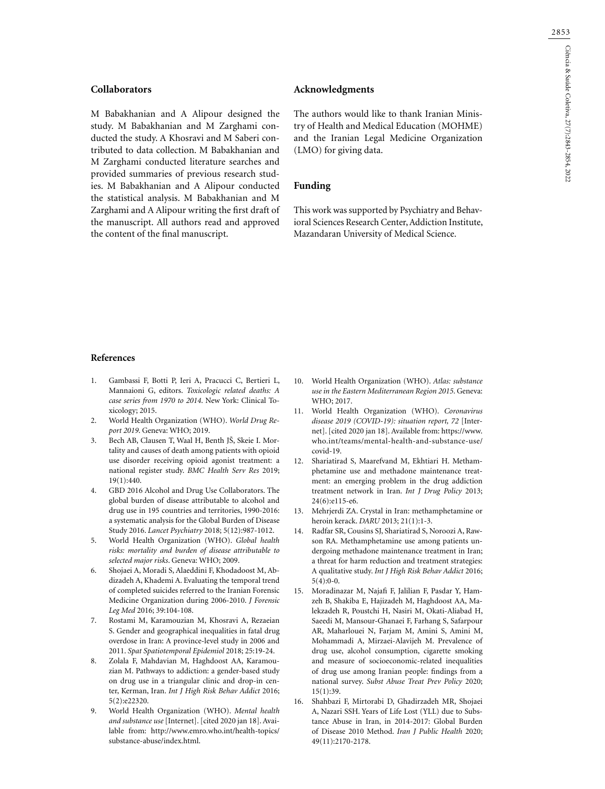## **Collaborators**

M Babakhanian and A Alipour designed the study. M Babakhanian and M Zarghami conducted the study. A Khosravi and M Saberi contributed to data collection. M Babakhanian and M Zarghami conducted literature searches and provided summaries of previous research studies. M Babakhanian and A Alipour conducted the statistical analysis. M Babakhanian and M Zarghami and A Alipour writing the first draft of the manuscript. All authors read and approved the content of the final manuscript.

## **Acknowledgments**

The authors would like to thank Iranian Ministry of Health and Medical Education (MOHME) and the Iranian Legal Medicine Organization (LMO) for giving data.

#### **Funding**

This work was supported by Psychiatry and Behavioral Sciences Research Center, Addiction Institute, Mazandaran University of Medical Science.

#### **References**

- 1. Gambassi F, Botti P, Ieri A, Pracucci C, Bertieri L, Mannaioni G, editors. *Toxicologic related deaths: A case series from 1970 to 2014*. New York: Clinical Toxicology; 2015.
- 2. World Health Organization (WHO). *World Drug Report 2019*. Geneva: WHO; 2019.
- 3. Bech AB, Clausen T, Waal H, Benth JŠ, Skeie I. Mortality and causes of death among patients with opioid use disorder receiving opioid agonist treatment: a national register study. *BMC Health Serv Res* 2019; 19(1):440.
- 4. GBD 2016 Alcohol and Drug Use Collaborators. The global burden of disease attributable to alcohol and drug use in 195 countries and territories, 1990-2016: a systematic analysis for the Global Burden of Disease Study 2016. *Lancet Psychiatry* 2018; 5(12):987-1012.
- 5. World Health Organization (WHO). *Global health risks: mortality and burden of disease attributable to selected major risks*. Geneva: WHO; 2009.
- 6. Shojaei A, Moradi S, Alaeddini F, Khodadoost M, Abdizadeh A, Khademi A. Evaluating the temporal trend of completed suicides referred to the Iranian Forensic Medicine Organization during 2006-2010. *J Forensic Leg Med* 2016; 39:104-108.
- 7. Rostami M, Karamouzian M, Khosravi A, Rezaeian S. Gender and geographical inequalities in fatal drug overdose in Iran: A province-level study in 2006 and 2011. *Spat Spatiotemporal Epidemiol* 2018; 25:19-24.
- 8. Zolala F, Mahdavian M, Haghdoost AA, Karamouzian M. Pathways to addiction: a gender-based study on drug use in a triangular clinic and drop-in center, Kerman, Iran. *Int J High Risk Behav Addict* 2016; 5(2):e22320.
- 9. World Health Organization (WHO). *Mental health and substance use* [Internet]. [cited 2020 jan 18]. Available from: http://www.emro.who.int/health-topics/ substance-abuse/index.html.
- 10. World Health Organization (WHO). *Atlas: substance use in the Eastern Mediterranean Region 2015*. Geneva: WHO; 2017.
- 11. World Health Organization (WHO). *Coronavirus disease 2019 (COVID-19): situation report, 72* [Internet]. [cited 2020 jan 18]. Available from: https://www. who.int/teams/mental-health-and-substance-use/ covid-19.
- 12. Shariatirad S, Maarefvand M, Ekhtiari H. Methamphetamine use and methadone maintenance treatment: an emerging problem in the drug addiction treatment network in Iran. *Int J Drug Policy* 2013; 24(6):e115-e6.
- 13. Mehrjerdi ZA. Crystal in Iran: methamphetamine or heroin kerack. *DARU* 2013; 21(1):1-3.
- 14. Radfar SR, Cousins SJ, Shariatirad S, Noroozi A, Rawson RA. Methamphetamine use among patients undergoing methadone maintenance treatment in Iran; a threat for harm reduction and treatment strategies: A qualitative study. *Int J High Risk Behav Addict* 2016;  $5(4):0-0.$
- 15. Moradinazar M, Najafi F, Jalilian F, Pasdar Y, Hamzeh B, Shakiba E, Hajizadeh M, Haghdoost AA, Malekzadeh R, Poustchi H, Nasiri M, Okati-Aliabad H, Saeedi M, Mansour-Ghanaei F, Farhang S, Safarpour AR, Maharlouei N, Farjam M, Amini S, Amini M, Mohammadi A, Mirzaei-Alavijeh M. Prevalence of drug use, alcohol consumption, cigarette smoking and measure of socioeconomic-related inequalities of drug use among Iranian people: findings from a national survey. *Subst Abuse Treat Prev Policy* 2020; 15(1):39.
- 16. Shahbazi F, Mirtorabi D, Ghadirzadeh MR, Shojaei A, Nazari SSH. Years of Life Lost (YLL) due to Substance Abuse in Iran, in 2014-2017: Global Burden of Disease 2010 Method. *Iran J Public Health* 2020; 49(11):2170-2178.